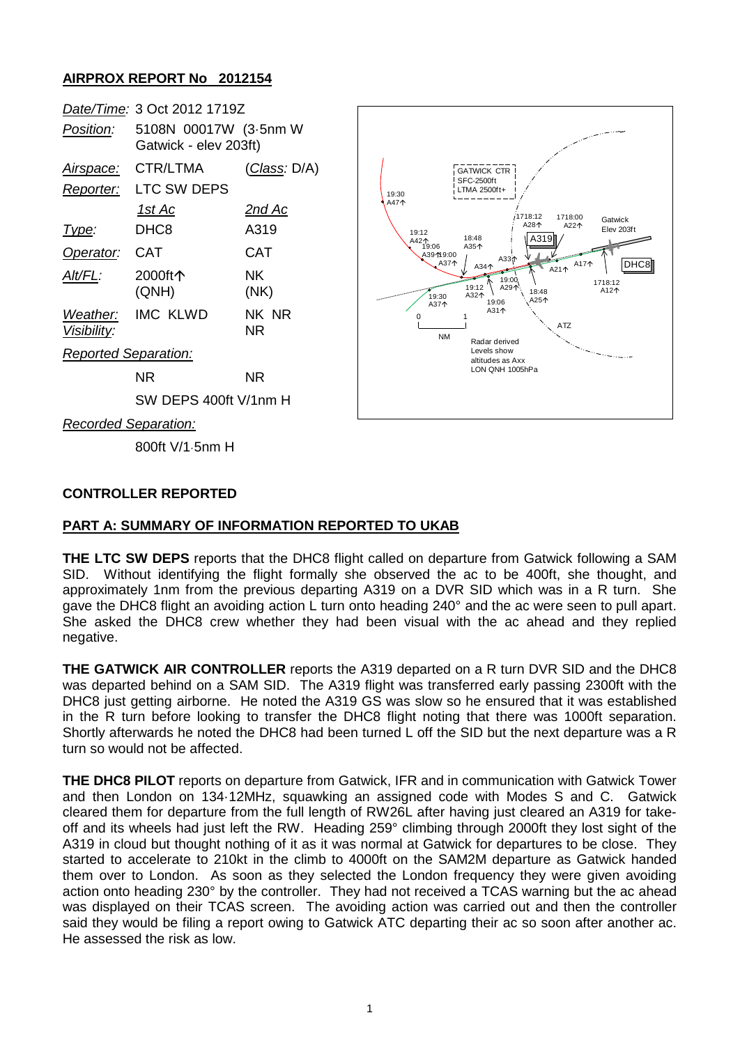## **AIRPROX REPORT No 2012154**

|                             | Date/Time: 3 Oct 2012 1719Z                    |                      |
|-----------------------------|------------------------------------------------|----------------------|
| Position:                   | 5108N 00017W (3-5nm W<br>Gatwick - elev 203ft) |                      |
| <u>Airspace:</u>            | CTR/LTMA                                       | <u>(Class</u> : D/A) |
| Reporter:                   | LTC SW DEPS                                    |                      |
|                             | <u> 1st Ac</u>                                 | <u>2nd Ac</u>        |
| Type:                       | DHC8                                           | A319                 |
| Operator:                   | CAT                                            | CAT                  |
| Alt/FL:                     | 2000ft个<br>(QNH)                               | NK.<br>(NK)          |
| Visibility:                 | Weather: IMC KLWD                              | NK NR<br>ΝR          |
| <b>Reported Separation:</b> |                                                |                      |
|                             | ΝR                                             | NR.                  |
|                             | SW DEPS 400ft V/1nm H                          |                      |
| Recorded Separation:        |                                                |                      |



*Recorded Separation:*

800ft V/1·5nm H

#### **CONTROLLER REPORTED**

### **PART A: SUMMARY OF INFORMATION REPORTED TO UKAB**

**THE LTC SW DEPS** reports that the DHC8 flight called on departure from Gatwick following a SAM SID. Without identifying the flight formally she observed the ac to be 400ft, she thought, and approximately 1nm from the previous departing A319 on a DVR SID which was in a R turn. She gave the DHC8 flight an avoiding action L turn onto heading 240° and the ac were seen to pull apart. She asked the DHC8 crew whether they had been visual with the ac ahead and they replied negative.

**THE GATWICK AIR CONTROLLER** reports the A319 departed on a R turn DVR SID and the DHC8 was departed behind on a SAM SID. The A319 flight was transferred early passing 2300ft with the DHC8 just getting airborne. He noted the A319 GS was slow so he ensured that it was established in the R turn before looking to transfer the DHC8 flight noting that there was 1000ft separation. Shortly afterwards he noted the DHC8 had been turned L off the SID but the next departure was a R turn so would not be affected.

**THE DHC8 PILOT** reports on departure from Gatwick, IFR and in communication with Gatwick Tower and then London on 134·12MHz, squawking an assigned code with Modes S and C. Gatwick cleared them for departure from the full length of RW26L after having just cleared an A319 for takeoff and its wheels had just left the RW. Heading 259° climbing through 2000ft they lost sight of the A319 in cloud but thought nothing of it as it was normal at Gatwick for departures to be close. They started to accelerate to 210kt in the climb to 4000ft on the SAM2M departure as Gatwick handed them over to London. As soon as they selected the London frequency they were given avoiding action onto heading 230° by the controller. They had not received a TCAS warning but the ac ahead was displayed on their TCAS screen. The avoiding action was carried out and then the controller said they would be filing a report owing to Gatwick ATC departing their ac so soon after another ac. He assessed the risk as low.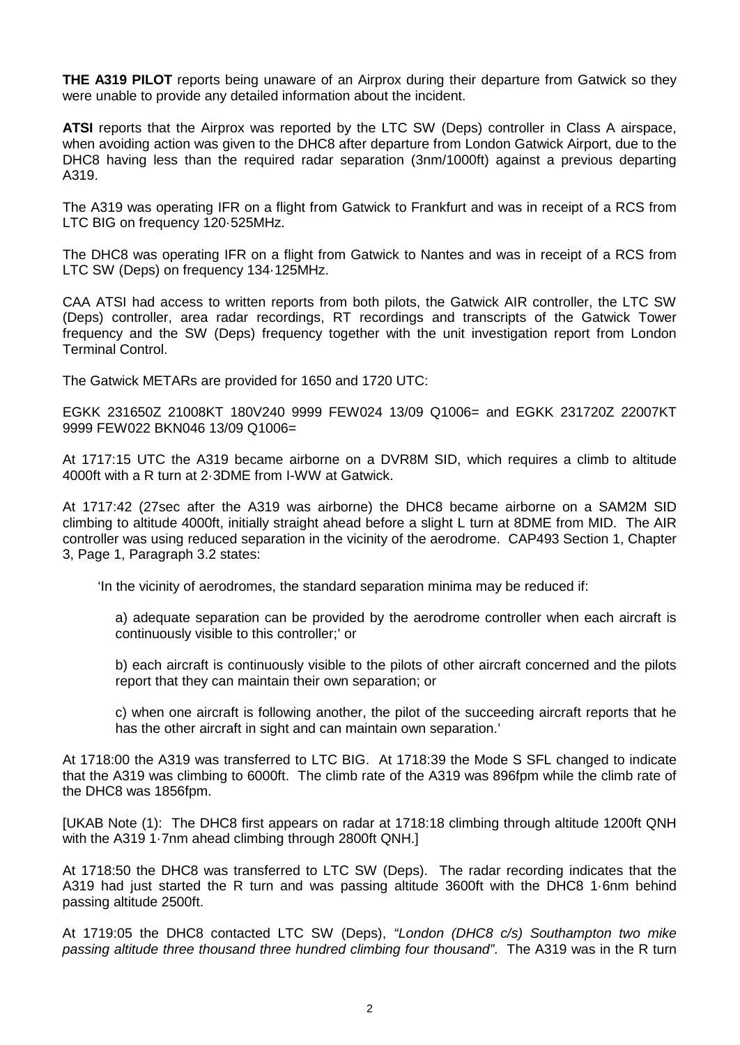**THE A319 PILOT** reports being unaware of an Airprox during their departure from Gatwick so they were unable to provide any detailed information about the incident.

**ATSI** reports that the Airprox was reported by the LTC SW (Deps) controller in Class A airspace, when avoiding action was given to the DHC8 after departure from London Gatwick Airport, due to the DHC8 having less than the required radar separation (3nm/1000ft) against a previous departing A319.

The A319 was operating IFR on a flight from Gatwick to Frankfurt and was in receipt of a RCS from LTC BIG on frequency 120·525MHz.

The DHC8 was operating IFR on a flight from Gatwick to Nantes and was in receipt of a RCS from LTC SW (Deps) on frequency 134·125MHz.

CAA ATSI had access to written reports from both pilots, the Gatwick AIR controller, the LTC SW (Deps) controller, area radar recordings, RT recordings and transcripts of the Gatwick Tower frequency and the SW (Deps) frequency together with the unit investigation report from London Terminal Control.

The Gatwick METARs are provided for 1650 and 1720 UTC:

EGKK 231650Z 21008KT 180V240 9999 FEW024 13/09 Q1006= and EGKK 231720Z 22007KT 9999 FEW022 BKN046 13/09 Q1006=

At 1717:15 UTC the A319 became airborne on a DVR8M SID, which requires a climb to altitude 4000ft with a R turn at 2·3DME from I-WW at Gatwick.

At 1717:42 (27sec after the A319 was airborne) the DHC8 became airborne on a SAM2M SID climbing to altitude 4000ft, initially straight ahead before a slight L turn at 8DME from MID. The AIR controller was using reduced separation in the vicinity of the aerodrome. CAP493 Section 1, Chapter 3, Page 1, Paragraph 3.2 states:

'In the vicinity of aerodromes, the standard separation minima may be reduced if:

a) adequate separation can be provided by the aerodrome controller when each aircraft is continuously visible to this controller;' or

b) each aircraft is continuously visible to the pilots of other aircraft concerned and the pilots report that they can maintain their own separation; or

c) when one aircraft is following another, the pilot of the succeeding aircraft reports that he has the other aircraft in sight and can maintain own separation.'

At 1718:00 the A319 was transferred to LTC BIG. At 1718:39 the Mode S SFL changed to indicate that the A319 was climbing to 6000ft. The climb rate of the A319 was 896fpm while the climb rate of the DHC8 was 1856fpm.

[UKAB Note (1): The DHC8 first appears on radar at 1718:18 climbing through altitude 1200ft QNH with the A319 1·7nm ahead climbing through 2800ft QNH.]

At 1718:50 the DHC8 was transferred to LTC SW (Deps). The radar recording indicates that the A319 had just started the R turn and was passing altitude 3600ft with the DHC8 1·6nm behind passing altitude 2500ft.

At 1719:05 the DHC8 contacted LTC SW (Deps), *"London (DHC8 c/s) Southampton two mike passing altitude three thousand three hundred climbing four thousand"*. The A319 was in the R turn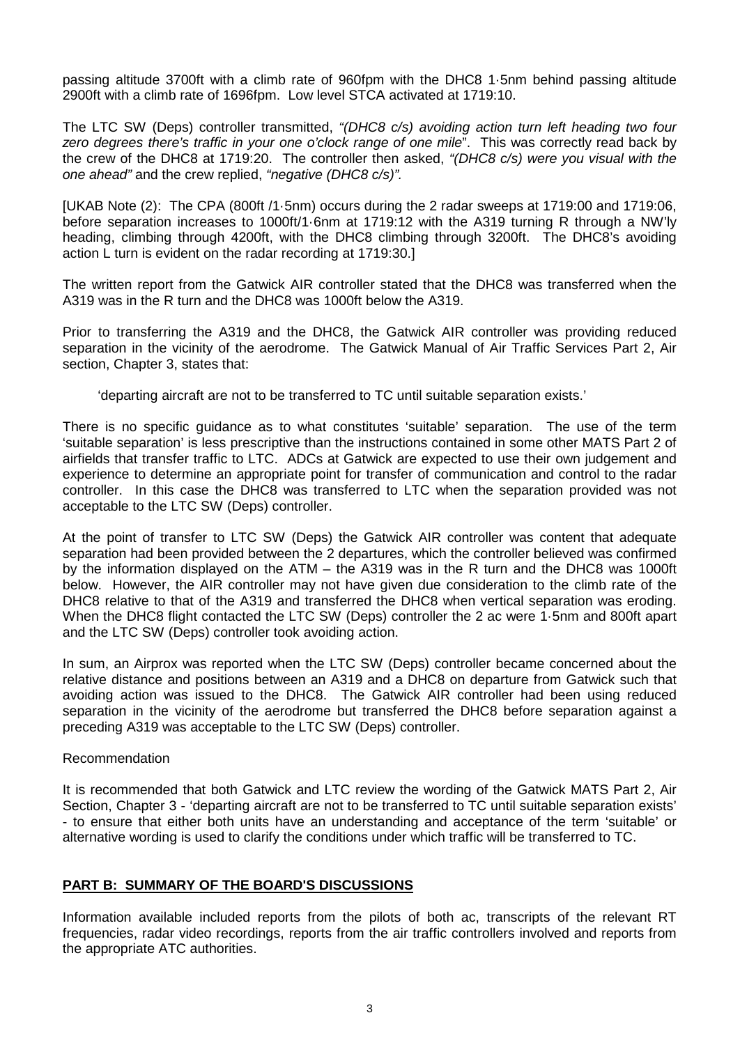passing altitude 3700ft with a climb rate of 960fpm with the DHC8 1·5nm behind passing altitude 2900ft with a climb rate of 1696fpm. Low level STCA activated at 1719:10.

The LTC SW (Deps) controller transmitted, *"(DHC8 c/s) avoiding action turn left heading two four zero degrees there's traffic in your one o'clock range of one mile*". This was correctly read back by the crew of the DHC8 at 1719:20. The controller then asked, *"(DHC8 c/s) were you visual with the one ahead"* and the crew replied, *"negative (DHC8 c/s)".*

[UKAB Note (2): The CPA (800ft /1·5nm) occurs during the 2 radar sweeps at 1719:00 and 1719:06, before separation increases to 1000ft/1·6nm at 1719:12 with the A319 turning R through a NW'ly heading, climbing through 4200ft, with the DHC8 climbing through 3200ft. The DHC8's avoiding action L turn is evident on the radar recording at 1719:30.]

The written report from the Gatwick AIR controller stated that the DHC8 was transferred when the A319 was in the R turn and the DHC8 was 1000ft below the A319.

Prior to transferring the A319 and the DHC8, the Gatwick AIR controller was providing reduced separation in the vicinity of the aerodrome. The Gatwick Manual of Air Traffic Services Part 2, Air section, Chapter 3, states that:

'departing aircraft are not to be transferred to TC until suitable separation exists.'

There is no specific guidance as to what constitutes 'suitable' separation. The use of the term 'suitable separation' is less prescriptive than the instructions contained in some other MATS Part 2 of airfields that transfer traffic to LTC. ADCs at Gatwick are expected to use their own judgement and experience to determine an appropriate point for transfer of communication and control to the radar controller. In this case the DHC8 was transferred to LTC when the separation provided was not acceptable to the LTC SW (Deps) controller.

At the point of transfer to LTC SW (Deps) the Gatwick AIR controller was content that adequate separation had been provided between the 2 departures, which the controller believed was confirmed by the information displayed on the ATM – the A319 was in the R turn and the DHC8 was 1000ft below. However, the AIR controller may not have given due consideration to the climb rate of the DHC8 relative to that of the A319 and transferred the DHC8 when vertical separation was eroding. When the DHC8 flight contacted the LTC SW (Deps) controller the 2 ac were 1·5nm and 800ft apart and the LTC SW (Deps) controller took avoiding action.

In sum, an Airprox was reported when the LTC SW (Deps) controller became concerned about the relative distance and positions between an A319 and a DHC8 on departure from Gatwick such that avoiding action was issued to the DHC8. The Gatwick AIR controller had been using reduced separation in the vicinity of the aerodrome but transferred the DHC8 before separation against a preceding A319 was acceptable to the LTC SW (Deps) controller.

### Recommendation

It is recommended that both Gatwick and LTC review the wording of the Gatwick MATS Part 2, Air Section, Chapter 3 - 'departing aircraft are not to be transferred to TC until suitable separation exists' - to ensure that either both units have an understanding and acceptance of the term 'suitable' or alternative wording is used to clarify the conditions under which traffic will be transferred to TC.

### **PART B: SUMMARY OF THE BOARD'S DISCUSSIONS**

Information available included reports from the pilots of both ac, transcripts of the relevant RT frequencies, radar video recordings, reports from the air traffic controllers involved and reports from the appropriate ATC authorities.